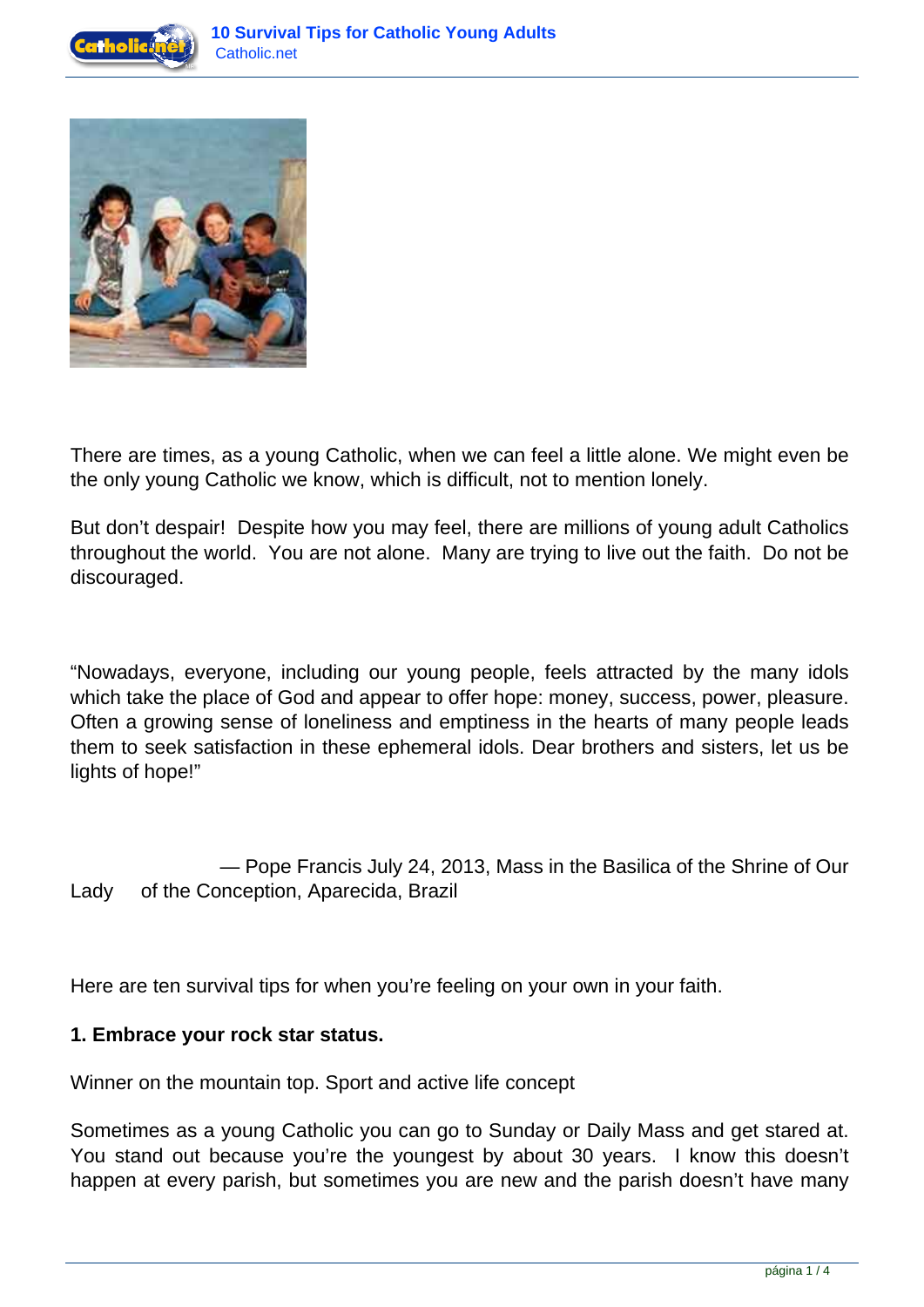



There are times, as a young Catholic, when we can feel a little alone. We might even be the only young Catholic we know, which is difficult, not to mention lonely.

But don't despair! Despite how you may feel, there are millions of young adult Catholics throughout the world. You are not alone. Many are trying to live out the faith. Do not be discouraged.

"Nowadays, everyone, including our young people, feels attracted by the many idols which take the place of God and appear to offer hope: money, success, power, pleasure. Often a growing sense of loneliness and emptiness in the hearts of many people leads them to seek satisfaction in these ephemeral idols. Dear brothers and sisters, let us be lights of hope!"

 — Pope Francis July 24, 2013, Mass in the Basilica of the Shrine of Our Lady of the Conception, Aparecida, Brazil

Here are ten survival tips for when you're feeling on your own in your faith.

# **1. Embrace your rock star status.**

Winner on the mountain top. Sport and active life concept

Sometimes as a young Catholic you can go to Sunday or Daily Mass and get stared at. You stand out because you're the youngest by about 30 years. I know this doesn't happen at every parish, but sometimes you are new and the parish doesn't have many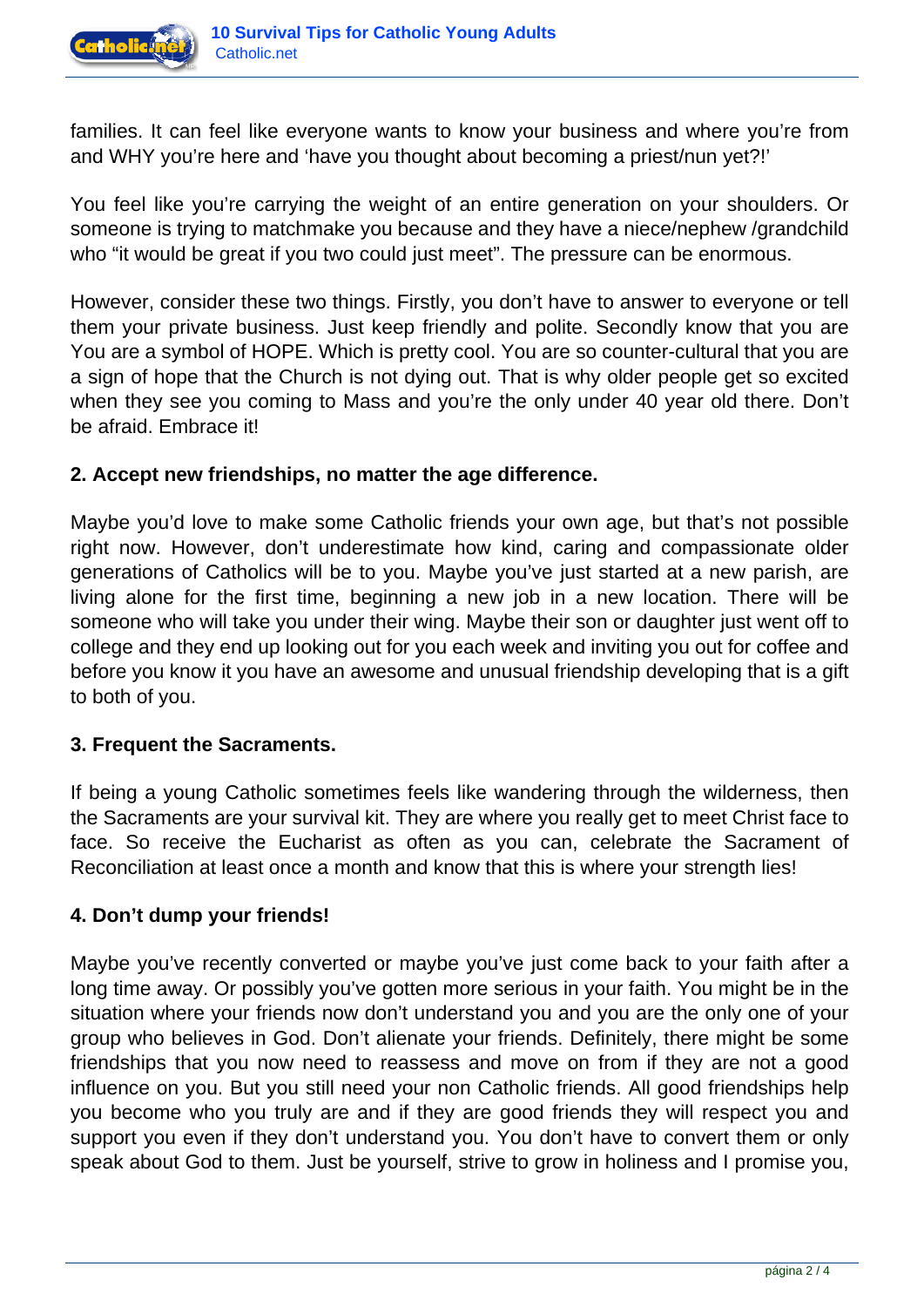

families. It can feel like everyone wants to know your business and where you're from and WHY you're here and 'have you thought about becoming a priest/nun yet?!'

You feel like you're carrying the weight of an entire generation on your shoulders. Or someone is trying to matchmake you because and they have a niece/nephew /grandchild who "it would be great if you two could just meet". The pressure can be enormous.

However, consider these two things. Firstly, you don't have to answer to everyone or tell them your private business. Just keep friendly and polite. Secondly know that you are You are a symbol of HOPE. Which is pretty cool. You are so counter-cultural that you are a sign of hope that the Church is not dying out. That is why older people get so excited when they see you coming to Mass and you're the only under 40 year old there. Don't be afraid. Embrace it!

## **2. Accept new friendships, no matter the age difference.**

Maybe you'd love to make some Catholic friends your own age, but that's not possible right now. However, don't underestimate how kind, caring and compassionate older generations of Catholics will be to you. Maybe you've just started at a new parish, are living alone for the first time, beginning a new job in a new location. There will be someone who will take you under their wing. Maybe their son or daughter just went off to college and they end up looking out for you each week and inviting you out for coffee and before you know it you have an awesome and unusual friendship developing that is a gift to both of you.

## **3. Frequent the Sacraments.**

If being a young Catholic sometimes feels like wandering through the wilderness, then the Sacraments are your survival kit. They are where you really get to meet Christ face to face. So receive the Eucharist as often as you can, celebrate the Sacrament of Reconciliation at least once a month and know that this is where your strength lies!

## **4. Don't dump your friends!**

Maybe you've recently converted or maybe you've just come back to your faith after a long time away. Or possibly you've gotten more serious in your faith. You might be in the situation where your friends now don't understand you and you are the only one of your group who believes in God. Don't alienate your friends. Definitely, there might be some friendships that you now need to reassess and move on from if they are not a good influence on you. But you still need your non Catholic friends. All good friendships help you become who you truly are and if they are good friends they will respect you and support you even if they don't understand you. You don't have to convert them or only speak about God to them. Just be yourself, strive to grow in holiness and I promise you,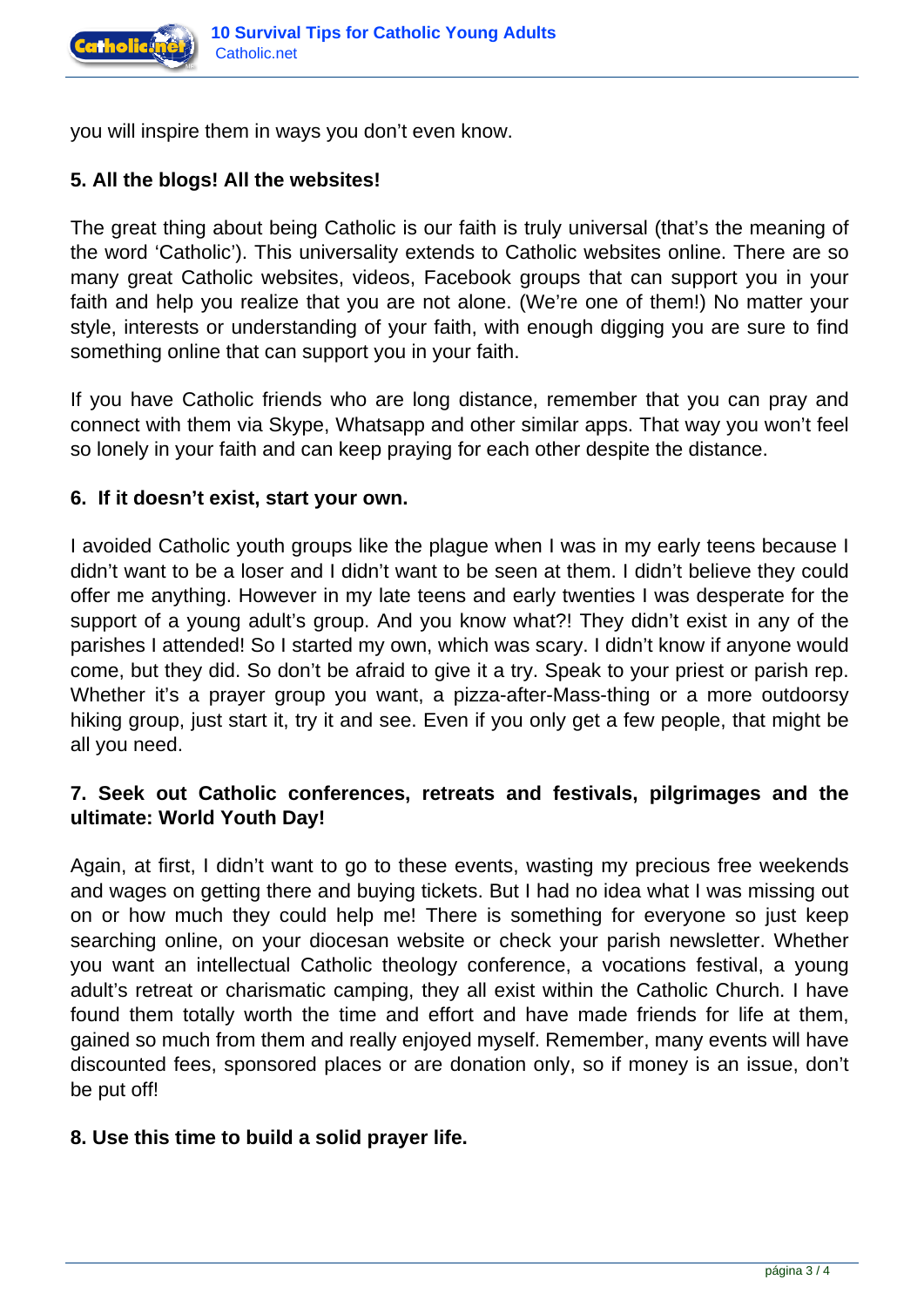

you will inspire them in ways you don't even know.

# **5. All the blogs! All the websites!**

The great thing about being Catholic is our faith is truly universal (that's the meaning of the word 'Catholic'). This universality extends to Catholic websites online. There are so many great Catholic websites, videos, Facebook groups that can support you in your faith and help you realize that you are not alone. (We're one of them!) No matter your style, interests or understanding of your faith, with enough digging you are sure to find something online that can support you in your faith.

If you have Catholic friends who are long distance, remember that you can pray and connect with them via Skype, Whatsapp and other similar apps. That way you won't feel so lonely in your faith and can keep praying for each other despite the distance.

## **6. If it doesn't exist, start your own.**

I avoided Catholic youth groups like the plague when I was in my early teens because I didn't want to be a loser and I didn't want to be seen at them. I didn't believe they could offer me anything. However in my late teens and early twenties I was desperate for the support of a young adult's group. And you know what?! They didn't exist in any of the parishes I attended! So I started my own, which was scary. I didn't know if anyone would come, but they did. So don't be afraid to give it a try. Speak to your priest or parish rep. Whether it's a prayer group you want, a pizza-after-Mass-thing or a more outdoorsy hiking group, just start it, try it and see. Even if you only get a few people, that might be all you need.

# **7. Seek out Catholic conferences, retreats and festivals, pilgrimages and the ultimate: World Youth Day!**

Again, at first, I didn't want to go to these events, wasting my precious free weekends and wages on getting there and buying tickets. But I had no idea what I was missing out on or how much they could help me! There is something for everyone so just keep searching online, on your diocesan website or check your parish newsletter. Whether you want an intellectual Catholic theology conference, a vocations festival, a young adult's retreat or charismatic camping, they all exist within the Catholic Church. I have found them totally worth the time and effort and have made friends for life at them, gained so much from them and really enjoyed myself. Remember, many events will have discounted fees, sponsored places or are donation only, so if money is an issue, don't be put off!

# **8. Use this time to build a solid prayer life.**